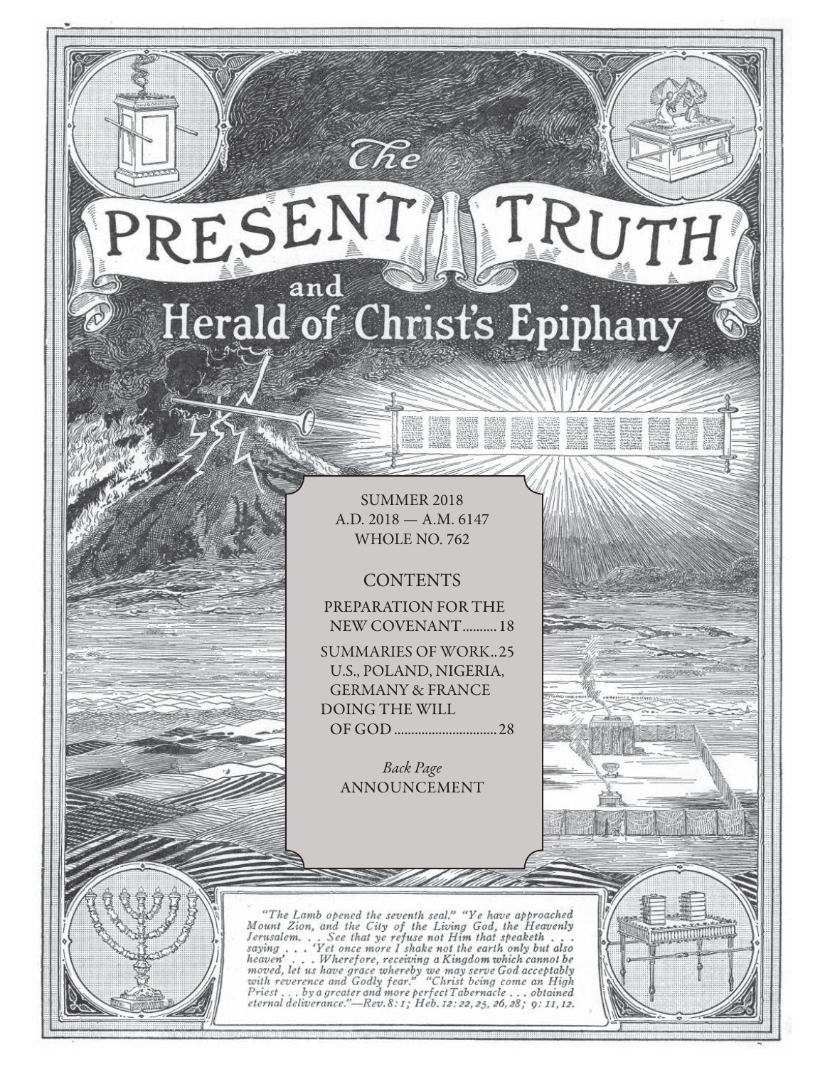# RESENT TRUTH and Herald of Christ's Epiphany

 $\widehat{C}\hspace{-0.6mm}\mathit{\widehat{R}} e$ 

SUMMER 2018 A.D. 2018 — A.M. 6147 WHOLE NO. 762

**CONTENTS** 

PREPARATION FOR THE NEW COVENANT .......... 18

SUMMARIES OF WORK..25 U.S., POLAND, NIGERIA, GERMANY & FRANCE DOING THE WILL

OF GOD .............................. 28

Back Page ANNOUNCEMENT

"The Lamb opened the seventh seal." "Ye have approached Mount Zion, and the City of the Living God, the Heavenly Jerusalem... See that ye refuse not Him that speaketh...<br>saying... 'Yet once more I shake not the earth only saying  $\ldots$ heaven'... Wherefore, receiving a Kingdom which cannot be<br>moved, let us have grace whereby we may serve God acceptably<br>with reverence and Godly fear." "Christ being come an High<br>Priest...by a greater and more perfect Taber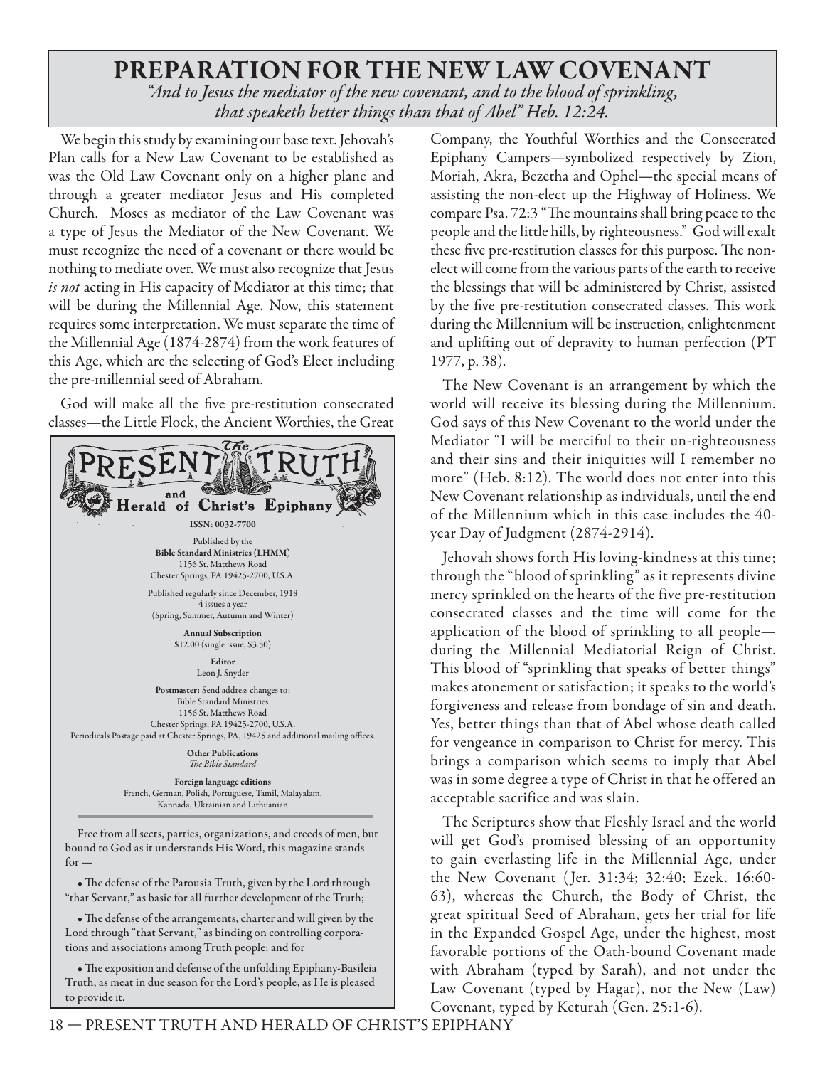# **PREPARATION FOR THE NEW LAW COVENANT**

*"And to Jesus the mediator of the new covenant, and to the blood of sprinkling, that speaketh better things than that of Abel" Heb. 12:24.*

We begin this study by examining our base text. Jehovah's Plan calls for a New Law Covenant to be established as was the Old Law Covenant only on a higher plane and through a greater mediator Jesus and His completed Church. Moses as mediator of the Law Covenant was a type of Jesus the Mediator of the New Covenant. We must recognize the need of a covenant or there would be nothing to mediate over. We must also recognize that Jesus is not acting in His capacity of Mediator at this time; that will be during the Millennial Age. Now, this statement requires some interpretation. We must separate the time of the Millennial Age (1874-2874) from the work features of this Age, which are the selecting of God's Elect including the pre-millennial seed of Abraham.

God will make all the five pre-restitution consecrated classes—the Little Flock, the Ancient Worthies, the Great



• The defense of the Parousia Truth, given by the Lord through "that Servant," as basic for all further development of the Truth;

• The defense of the arrangements, charter and will given by the Lord through "that Servant," as binding on controlling corporations and associations among Truth people; and for

• The exposition and defense of the unfolding Epiphany-Basileia Truth, as meat in due season for the Lord's people, as He is pleased to provide it.

Company, the Youthful Worthies and the Consecrated Epiphany Campers—symbolized respectively by Zion, Moriah, Akra, Bezetha and Ophel—the special means of assisting the non-elect up the Highway of Holiness. We compare Psa. 72:3 "The mountains shall bring peace to the people and the little hills, by righteousness." God will exalt these five pre-restitution classes for this purpose. The nonelect will come from the various parts of the earth to receive the blessings that will be administered by Christ, assisted by the five pre-restitution consecrated classes. This work during the Millennium will be instruction, enlightenment and uplifting out of depravity to human perfection (PT 1977, p. 38).

The New Covenant is an arrangement by which the world will receive its blessing during the Millennium. God says of this New Covenant to the world under the Mediator "I will be merciful to their un-righteousness and their sins and their iniquities will I remember no more" (Heb. 8:12). The world does not enter into this New Covenant relationship as individuals, until the end of the Millennium which in this case includes the 40 year Day of Judgment (2874-2914).

Jehovah shows forth His loving-kindness at this time; through the "blood of sprinkling" as it represents divine mercy sprinkled on the hearts of the five pre-restitution consecrated classes and the time will come for the application of the blood of sprinkling to all people during the Millennial Mediatorial Reign of Christ. This blood of "sprinkling that speaks of better things" makes atonement or satisfaction; it speaks to the world's forgiveness and release from bondage of sin and death. Yes, better things than that of Abel whose death called for vengeance in comparison to Christ for mercy. This brings a comparison which seems to imply that Abel was in some degree a type of Christ in that he offered an acceptable sacrifice and was slain.

The Scriptures show that Fleshly Israel and the world will get God's promised blessing of an opportunity to gain everlasting life in the Millennial Age, under the New Covenant ( Jer. 31:34; 32:40; Ezek. 16:60- 63), whereas the Church, the Body of Christ, the great spiritual Seed of Abraham, gets her trial for life in the Expanded Gospel Age, under the highest, most favorable portions of the Oath-bound Covenant made with Abraham (typed by Sarah), and not under the Law Covenant (typed by Hagar), nor the New (Law) Covenant, typed by Keturah (Gen. 25:1-6).

18 — PRESENT TRUTH AND HERALD OF CHRIST'S EPIPHANY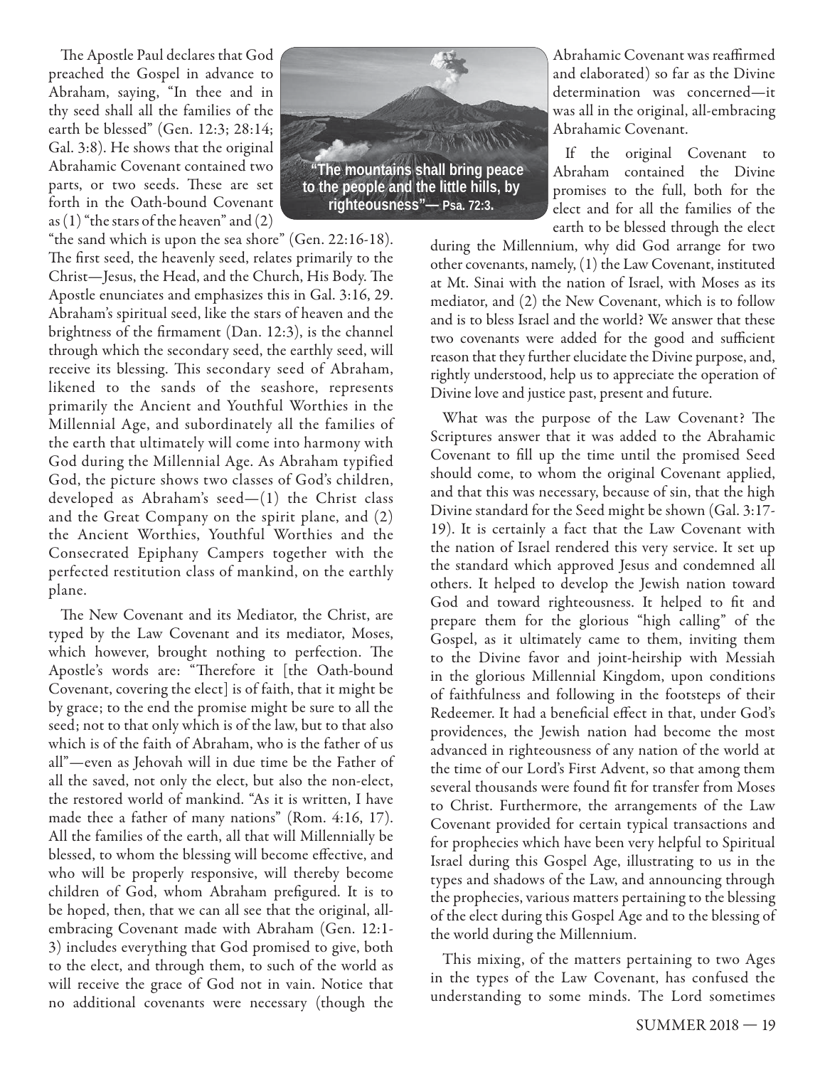The Apostle Paul declares that God preached the Gospel in advance to Abraham, saying, "In thee and in thy seed shall all the families of the earth be blessed" (Gen. 12:3; 28:14; Gal. 3:8). He shows that the original Abrahamic Covenant contained two parts, or two seeds. These are set forth in the Oath-bound Covenant as  $(1)$  "the stars of the heaven" and  $(2)$ 

"the sand which is upon the sea shore" (Gen. 22:16-18). The first seed, the heavenly seed, relates primarily to the Christ-Jesus, the Head, and the Church, His Body. The Apostle enunciates and emphasizes this in Gal. 3:16, 29. Abraham's spiritual seed, like the stars of heaven and the brightness of the firmament (Dan. 12:3), is the channel through which the secondary seed, the earthly seed, will receive its blessing. This secondary seed of Abraham, likened to the sands of the seashore, represents primarily the Ancient and Youthful Worthies in the Millennial Age, and subordinately all the families of the earth that ultimately will come into harmony with God during the Millennial Age. As Abraham typified God, the picture shows two classes of God's children, developed as Abraham's seed—(1) the Christ class and the Great Company on the spirit plane, and (2) the Ancient Worthies, Youthful Worthies and the Consecrated Epiphany Campers together with the perfected restitution class of mankind, on the earthly plane.

The New Covenant and its Mediator, the Christ, are typed by the Law Covenant and its mediator, Moses, which however, brought nothing to perfection. The Apostle's words are: "Therefore it [the Oath-bound Covenant, covering the elect] is of faith, that it might be by grace; to the end the promise might be sure to all the seed; not to that only which is of the law, but to that also which is of the faith of Abraham, who is the father of us all"—even as Jehovah will in due time be the Father of all the saved, not only the elect, but also the non-elect, the restored world of mankind. "As it is written, I have made thee a father of many nations" (Rom. 4:16, 17). All the families of the earth, all that will Millennially be blessed, to whom the blessing will become effective, and who will be properly responsive, will thereby become children of God, whom Abraham prefigured. It is to be hoped, then, that we can all see that the original, allembracing Covenant made with Abraham (Gen. 12:1- 3) includes everything that God promised to give, both to the elect, and through them, to such of the world as will receive the grace of God not in vain. Notice that no additional covenants were necessary (though the



Abrahamic Covenant was reaffirmed and elaborated) so far as the Divine determination was concerned—it was all in the original, all-embracing Abrahamic Covenant.

If the original Covenant to Abraham contained the Divine promises to the full, both for the elect and for all the families of the earth to be blessed through the elect

during the Millennium, why did God arrange for two other covenants, namely, (1) the Law Covenant, instituted at Mt. Sinai with the nation of Israel, with Moses as its mediator, and (2) the New Covenant, which is to follow and is to bless Israel and the world? We answer that these two covenants were added for the good and sufficient reason that they further elucidate the Divine purpose, and, rightly understood, help us to appreciate the operation of Divine love and justice past, present and future.

What was the purpose of the Law Covenant? The Scriptures answer that it was added to the Abrahamic Covenant to fill up the time until the promised Seed should come, to whom the original Covenant applied, and that this was necessary, because of sin, that the high Divine standard for the Seed might be shown (Gal. 3:17- 19). It is certainly a fact that the Law Covenant with the nation of Israel rendered this very service. It set up the standard which approved Jesus and condemned all others. It helped to develop the Jewish nation toward God and toward righteousness. It helped to fit and prepare them for the glorious "high calling" of the Gospel, as it ultimately came to them, inviting them to the Divine favor and joint-heirship with Messiah in the glorious Millennial Kingdom, upon conditions of faithfulness and following in the footsteps of their Redeemer. It had a beneficial effect in that, under God's providences, the Jewish nation had become the most advanced in righteousness of any nation of the world at the time of our Lord's First Advent, so that among them several thousands were found fit for transfer from Moses to Christ. Furthermore, the arrangements of the Law Covenant provided for certain typical transactions and for prophecies which have been very helpful to Spiritual Israel during this Gospel Age, illustrating to us in the types and shadows of the Law, and announcing through the prophecies, various matters pertaining to the blessing of the elect during this Gospel Age and to the blessing of the world during the Millennium.

This mixing, of the matters pertaining to two Ages in the types of the Law Covenant, has confused the understanding to some minds. The Lord sometimes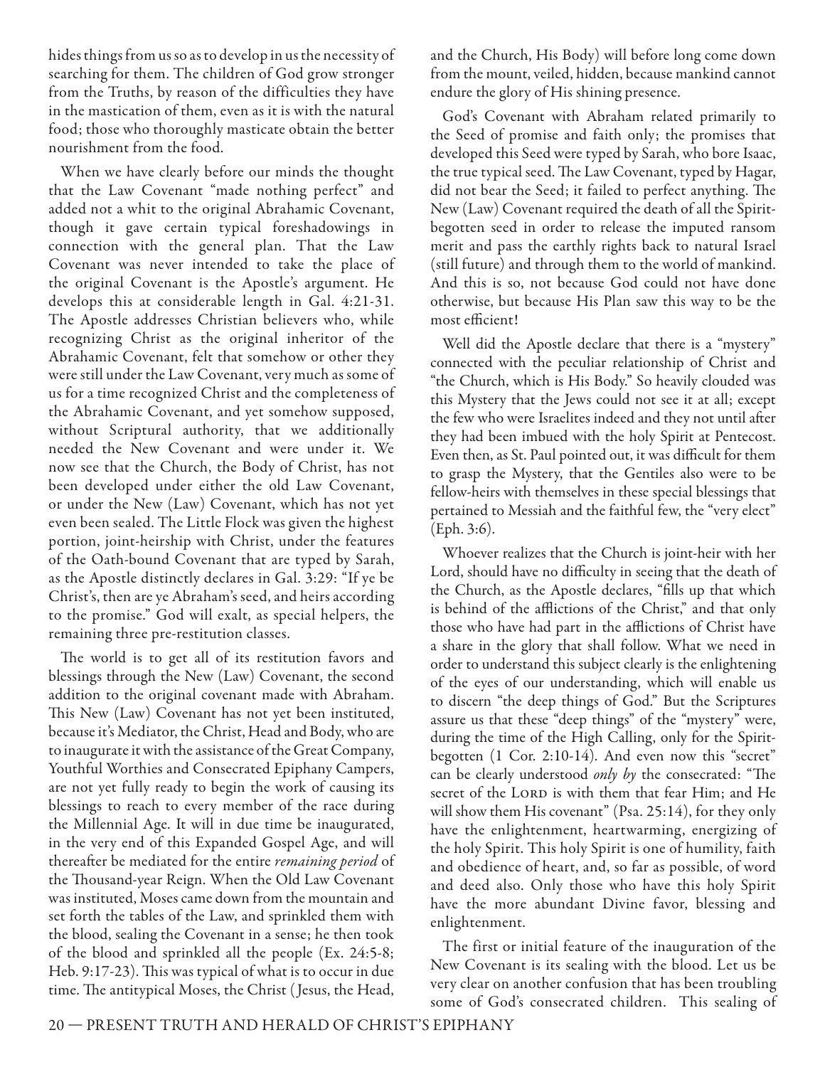hides things from us so as to develop in us the necessity of searching for them. The children of God grow stronger from the Truths, by reason of the difficulties they have in the mastication of them, even as it is with the natural food; those who thoroughly masticate obtain the better nourishment from the food.

When we have clearly before our minds the thought that the Law Covenant "made nothing perfect" and added not a whit to the original Abrahamic Covenant, though it gave certain typical foreshadowings in connection with the general plan. That the Law Covenant was never intended to take the place of the original Covenant is the Apostle's argument. He develops this at considerable length in Gal. 4:21-31. The Apostle addresses Christian believers who, while recognizing Christ as the original inheritor of the Abrahamic Covenant, felt that somehow or other they were still under the Law Covenant, very much as some of us for a time recognized Christ and the completeness of the Abrahamic Covenant, and yet somehow supposed, without Scriptural authority, that we additionally needed the New Covenant and were under it. We now see that the Church, the Body of Christ, has not been developed under either the old Law Covenant, or under the New (Law) Covenant, which has not yet even been sealed. The Little Flock was given the highest portion, joint-heirship with Christ, under the features of the Oath-bound Covenant that are typed by Sarah, as the Apostle distinctly declares in Gal. 3:29: "If ye be Christ's, then are ye Abraham's seed, and heirs according to the promise." God will exalt, as special helpers, the remaining three pre-restitution classes.

The world is to get all of its restitution favors and blessings through the New (Law) Covenant, the second addition to the original covenant made with Abraham. This New (Law) Covenant has not yet been instituted, because it's Mediator, the Christ, Head and Body, who are to inaugurate it with the assistance of the Great Company, Youthful Worthies and Consecrated Epiphany Campers, are not yet fully ready to begin the work of causing its blessings to reach to every member of the race during the Millennial Age. It will in due time be inaugurated, in the very end of this Expanded Gospel Age, and will thereafter be mediated for the entire *remaining period* of the Thousand-year Reign. When the Old Law Covenant was instituted, Moses came down from the mountain and set forth the tables of the Law, and sprinkled them with the blood, sealing the Covenant in a sense; he then took of the blood and sprinkled all the people (Ex. 24:5-8; Heb. 9:17-23). This was typical of what is to occur in due time. The antitypical Moses, the Christ (Jesus, the Head,

and the Church, His Body) will before long come down from the mount, veiled, hidden, because mankind cannot endure the glory of His shining presence.

God's Covenant with Abraham related primarily to the Seed of promise and faith only; the promises that developed this Seed were typed by Sarah, who bore Isaac, the true typical seed. The Law Covenant, typed by Hagar, did not bear the Seed; it failed to perfect anything. The New (Law) Covenant required the death of all the Spiritbegotten seed in order to release the imputed ransom merit and pass the earthly rights back to natural Israel (still future) and through them to the world of mankind. And this is so, not because God could not have done otherwise, but because His Plan saw this way to be the most efficient!

Well did the Apostle declare that there is a "mystery" connected with the peculiar relationship of Christ and "the Church, which is His Body." So heavily clouded was this Mystery that the Jews could not see it at all; except the few who were Israelites indeed and they not until after they had been imbued with the holy Spirit at Pentecost. Even then, as St. Paul pointed out, it was difficult for them to grasp the Mystery, that the Gentiles also were to be fellow-heirs with themselves in these special blessings that pertained to Messiah and the faithful few, the "very elect" (Eph. 3:6).

Whoever realizes that the Church is joint-heir with her Lord, should have no difficulty in seeing that the death of the Church, as the Apostle declares, "fills up that which is behind of the afflictions of the Christ," and that only those who have had part in the afflictions of Christ have a share in the glory that shall follow. What we need in order to understand this subject clearly is the enlightening of the eyes of our understanding, which will enable us to discern "the deep things of God." But the Scriptures assure us that these "deep things" of the "mystery" were, during the time of the High Calling, only for the Spiritbegotten (1 Cor. 2:10-14). And even now this "secret" can be clearly understood only by the consecrated: "The secret of the LORD is with them that fear Him; and He will show them His covenant" (Psa. 25:14), for they only have the enlightenment, heartwarming, energizing of the holy Spirit. This holy Spirit is one of humility, faith and obedience of heart, and, so far as possible, of word and deed also. Only those who have this holy Spirit have the more abundant Divine favor, blessing and enlightenment.

The first or initial feature of the inauguration of the New Covenant is its sealing with the blood. Let us be very clear on another confusion that has been troubling some of God's consecrated children. This sealing of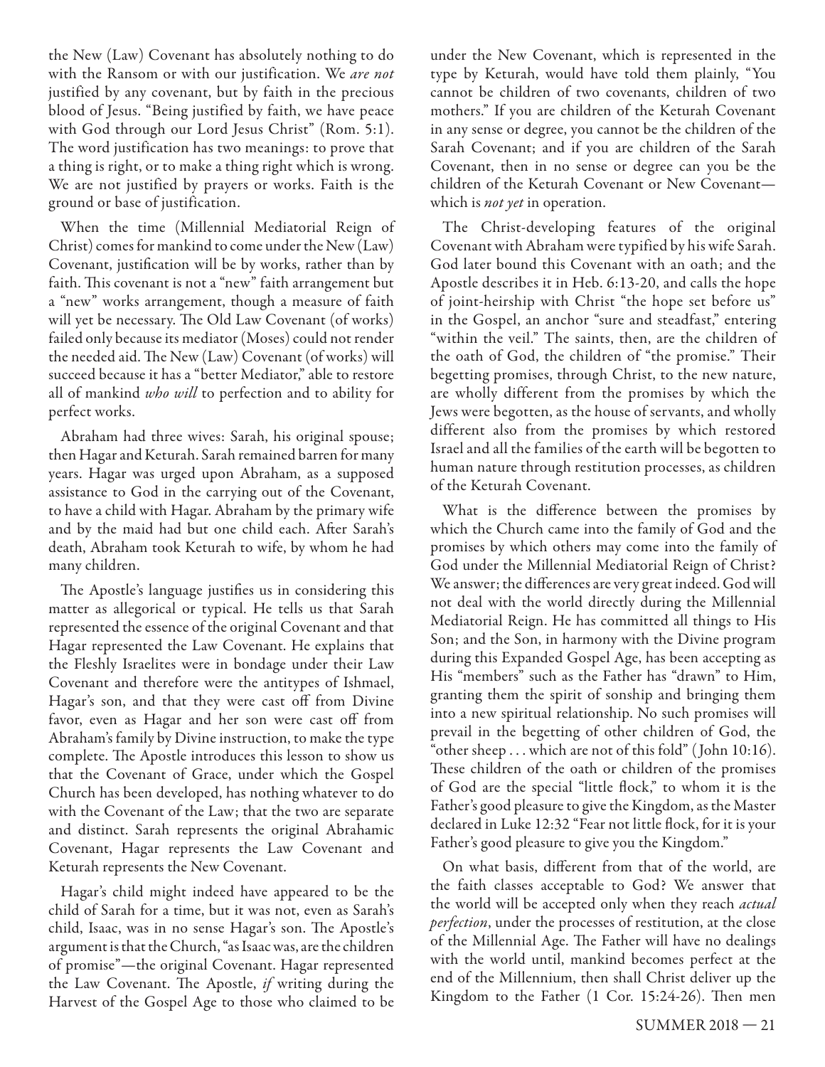the New (Law) Covenant has absolutely nothing to do with the Ransom or with our justification. We are not justified by any covenant, but by faith in the precious blood of Jesus. "Being justified by faith, we have peace with God through our Lord Jesus Christ" (Rom. 5:1). The word justification has two meanings: to prove that a thing is right, or to make a thing right which is wrong. We are not justified by prayers or works. Faith is the ground or base of justification.

When the time (Millennial Mediatorial Reign of Christ) comes for mankind to come under the New (Law) Covenant, justification will be by works, rather than by faith. This covenant is not a "new" faith arrangement but a "new" works arrangement, though a measure of faith will yet be necessary. The Old Law Covenant (of works) failed only because its mediator (Moses) could not render the needed aid. The New (Law) Covenant (of works) will succeed because it has a "better Mediator," able to restore all of mankind who will to perfection and to ability for perfect works.

Abraham had three wives: Sarah, his original spouse; then Hagar and Keturah. Sarah remained barren for many years. Hagar was urged upon Abraham, as a supposed assistance to God in the carrying out of the Covenant, to have a child with Hagar. Abraham by the primary wife and by the maid had but one child each. After Sarah's death, Abraham took Keturah to wife, by whom he had many children.

The Apostle's language justifies us in considering this matter as allegorical or typical. He tells us that Sarah represented the essence of the original Covenant and that Hagar represented the Law Covenant. He explains that the Fleshly Israelites were in bondage under their Law Covenant and therefore were the antitypes of Ishmael, Hagar's son, and that they were cast off from Divine favor, even as Hagar and her son were cast off from Abraham's family by Divine instruction, to make the type complete. The Apostle introduces this lesson to show us that the Covenant of Grace, under which the Gospel Church has been developed, has nothing whatever to do with the Covenant of the Law; that the two are separate and distinct. Sarah represents the original Abrahamic Covenant, Hagar represents the Law Covenant and Keturah represents the New Covenant.

Hagar's child might indeed have appeared to be the child of Sarah for a time, but it was not, even as Sarah's child, Isaac, was in no sense Hagar's son. The Apostle's argument is that the Church, "as Isaac was, are the children of promise"—the original Covenant. Hagar represented the Law Covenant. The Apostle,  $if$  writing during the Harvest of the Gospel Age to those who claimed to be

under the New Covenant, which is represented in the type by Keturah, would have told them plainly, "You cannot be children of two covenants, children of two mothers." If you are children of the Keturah Covenant in any sense or degree, you cannot be the children of the Sarah Covenant; and if you are children of the Sarah Covenant, then in no sense or degree can you be the children of the Keturah Covenant or New Covenant which is *not yet* in operation.

The Christ-developing features of the original Covenant with Abraham were typified by his wife Sarah. God later bound this Covenant with an oath; and the Apostle describes it in Heb. 6:13-20, and calls the hope of joint-heirship with Christ "the hope set before us" in the Gospel, an anchor "sure and steadfast," entering "within the veil." The saints, then, are the children of the oath of God, the children of "the promise." Their begetting promises, through Christ, to the new nature, are wholly different from the promises by which the Jews were begotten, as the house of servants, and wholly different also from the promises by which restored Israel and all the families of the earth will be begotten to human nature through restitution processes, as children of the Keturah Covenant.

What is the difference between the promises by which the Church came into the family of God and the promises by which others may come into the family of God under the Millennial Mediatorial Reign of Christ? We answer; the differences are very great indeed. God will not deal with the world directly during the Millennial Mediatorial Reign. He has committed all things to His Son; and the Son, in harmony with the Divine program during this Expanded Gospel Age, has been accepting as His "members" such as the Father has "drawn" to Him, granting them the spirit of sonship and bringing them into a new spiritual relationship. No such promises will prevail in the begetting of other children of God, the "other sheep . . . which are not of this fold" ( John 10:16). These children of the oath or children of the promises of God are the special "little flock," to whom it is the Father's good pleasure to give the Kingdom, as the Master declared in Luke 12:32 "Fear not little flock, for it is your Father's good pleasure to give you the Kingdom."

On what basis, different from that of the world, are the faith classes acceptable to God? We answer that the world will be accepted only when they reach actual perfection, under the processes of restitution, at the close of the Millennial Age. The Father will have no dealings with the world until, mankind becomes perfect at the end of the Millennium, then shall Christ deliver up the Kingdom to the Father  $(1 \text{ Cor. } 15:24-26)$ . Then men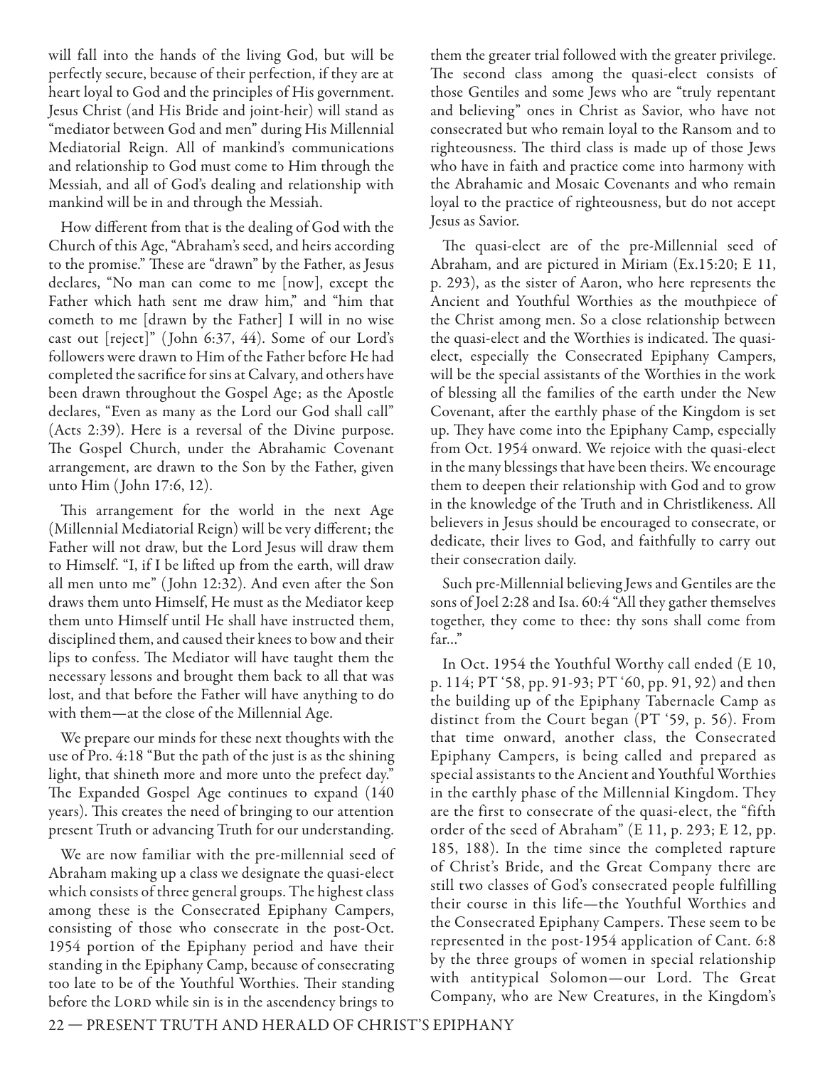will fall into the hands of the living God, but will be perfectly secure, because of their perfection, if they are at heart loyal to God and the principles of His government. Jesus Christ (and His Bride and joint-heir) will stand as "mediator between God and men" during His Millennial Mediatorial Reign. All of mankind's communications and relationship to God must come to Him through the Messiah, and all of God's dealing and relationship with mankind will be in and through the Messiah.

How different from that is the dealing of God with the Church of this Age, "Abraham's seed, and heirs according to the promise." These are "drawn" by the Father, as Jesus declares, "No man can come to me [now], except the Father which hath sent me draw him," and "him that cometh to me [drawn by the Father] I will in no wise cast out [reject]" ( John 6:37, 44). Some of our Lord's followers were drawn to Him of the Father before He had completed the sacrifice for sins at Calvary, and others have been drawn throughout the Gospel Age; as the Apostle declares, "Even as many as the Lord our God shall call" (Acts 2:39). Here is a reversal of the Divine purpose. The Gospel Church, under the Abrahamic Covenant arrangement, are drawn to the Son by the Father, given unto Him ( John 17:6, 12).

This arrangement for the world in the next Age (Millennial Mediatorial Reign) will be very different; the Father will not draw, but the Lord Jesus will draw them to Himself. "I, if I be lifted up from the earth, will draw all men unto me" (John 12:32). And even after the Son draws them unto Himself, He must as the Mediator keep them unto Himself until He shall have instructed them, disciplined them, and caused their knees to bow and their lips to confess. The Mediator will have taught them the necessary lessons and brought them back to all that was lost, and that before the Father will have anything to do with them—at the close of the Millennial Age.

We prepare our minds for these next thoughts with the use of Pro. 4:18 "But the path of the just is as the shining light, that shineth more and more unto the prefect day." The Expanded Gospel Age continues to expand (140) years). This creates the need of bringing to our attention present Truth or advancing Truth for our understanding.

We are now familiar with the pre-millennial seed of Abraham making up a class we designate the quasi-elect which consists of three general groups. The highest class among these is the Consecrated Epiphany Campers, consisting of those who consecrate in the post-Oct. 1954 portion of the Epiphany period and have their standing in the Epiphany Camp, because of consecrating too late to be of the Youthful Worthies. Their standing before the LORD while sin is in the ascendency brings to

them the greater trial followed with the greater privilege. The second class among the quasi-elect consists of those Gentiles and some Jews who are "truly repentant and believing" ones in Christ as Savior, who have not consecrated but who remain loyal to the Ransom and to righteousness. The third class is made up of those Jews who have in faith and practice come into harmony with the Abrahamic and Mosaic Covenants and who remain loyal to the practice of righteousness, but do not accept Jesus as Savior.

The quasi-elect are of the pre-Millennial seed of Abraham, and are pictured in Miriam (Ex.15:20; E 11, p. 293), as the sister of Aaron, who here represents the Ancient and Youthful Worthies as the mouthpiece of the Christ among men. So a close relationship between the quasi-elect and the Worthies is indicated. The quasielect, especially the Consecrated Epiphany Campers, will be the special assistants of the Worthies in the work of blessing all the families of the earth under the New Covenant, after the earthly phase of the Kingdom is set up. They have come into the Epiphany Camp, especially from Oct. 1954 onward. We rejoice with the quasi-elect in the many blessings that have been theirs. We encourage them to deepen their relationship with God and to grow in the knowledge of the Truth and in Christlikeness. All believers in Jesus should be encouraged to consecrate, or dedicate, their lives to God, and faithfully to carry out their consecration daily.

Such pre-Millennial believing Jews and Gentiles are the sons of Joel 2:28 and Isa. 60:4 "All they gather themselves together, they come to thee: thy sons shall come from far…"

In Oct. 1954 the Youthful Worthy call ended (E 10, p. 114; PT '58, pp. 91-93; PT '60, pp. 91, 92) and then the building up of the Epiphany Tabernacle Camp as distinct from the Court began (PT '59, p. 56). From that time onward, another class, the Consecrated Epiphany Campers, is being called and prepared as special assistants to the Ancient and Youthful Worthies in the earthly phase of the Millennial Kingdom. They are the first to consecrate of the quasi-elect, the "fifth order of the seed of Abraham" (E 11, p. 293; E 12, pp. 185, 188). In the time since the completed rapture of Christ's Bride, and the Great Company there are still two classes of God's consecrated people fulfilling their course in this life—the Youthful Worthies and the Consecrated Epiphany Campers. These seem to be represented in the post-1954 application of Cant. 6:8 by the three groups of women in special relationship with antitypical Solomon—our Lord. The Great Company, who are New Creatures, in the Kingdom's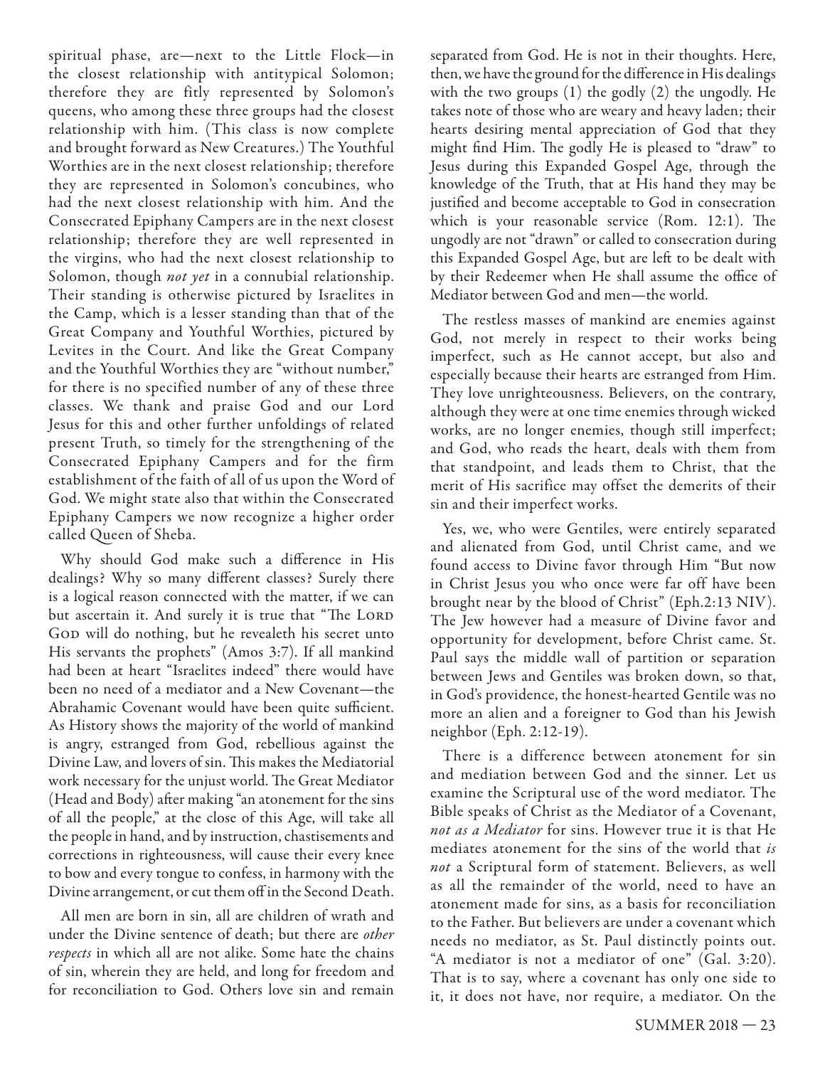spiritual phase, are—next to the Little Flock—in the closest relationship with antitypical Solomon; therefore they are fitly represented by Solomon's queens, who among these three groups had the closest relationship with him. (This class is now complete and brought forward as New Creatures.) The Youthful Worthies are in the next closest relationship; therefore they are represented in Solomon's concubines, who had the next closest relationship with him. And the Consecrated Epiphany Campers are in the next closest relationship; therefore they are well represented in the virgins, who had the next closest relationship to Solomon, though *not yet* in a connubial relationship. Their standing is otherwise pictured by Israelites in the Camp, which is a lesser standing than that of the Great Company and Youthful Worthies, pictured by Levites in the Court. And like the Great Company and the Youthful Worthies they are "without number," for there is no specified number of any of these three classes. We thank and praise God and our Lord Jesus for this and other further unfoldings of related present Truth, so timely for the strengthening of the Consecrated Epiphany Campers and for the firm establishment of the faith of all of us upon the Word of God. We might state also that within the Consecrated Epiphany Campers we now recognize a higher order called Queen of Sheba.

Why should God make such a difference in His dealings? Why so many different classes? Surely there is a logical reason connected with the matter, if we can but ascertain it. And surely it is true that "The LORD GOD will do nothing, but he revealeth his secret unto His servants the prophets" (Amos 3:7). If all mankind had been at heart "Israelites indeed" there would have been no need of a mediator and a New Covenant—the Abrahamic Covenant would have been quite sufficient. As History shows the majority of the world of mankind is angry, estranged from God, rebellious against the Divine Law, and lovers of sin. This makes the Mediatorial work necessary for the unjust world. The Great Mediator (Head and Body) after making "an atonement for the sins of all the people," at the close of this Age, will take all the people in hand, and by instruction, chastisements and corrections in righteousness, will cause their every knee to bow and every tongue to confess, in harmony with the Divine arrangement, or cut them off in the Second Death.

All men are born in sin, all are children of wrath and under the Divine sentence of death; but there are *other* respects in which all are not alike. Some hate the chains of sin, wherein they are held, and long for freedom and for reconciliation to God. Others love sin and remain

separated from God. He is not in their thoughts. Here, then, we have the ground for the difference in His dealings with the two groups (1) the godly (2) the ungodly. He takes note of those who are weary and heavy laden; their hearts desiring mental appreciation of God that they might find Him. The godly He is pleased to "draw" to Jesus during this Expanded Gospel Age, through the knowledge of the Truth, that at His hand they may be justified and become acceptable to God in consecration which is your reasonable service (Rom.  $12:1$ ). The ungodly are not "drawn" or called to consecration during this Expanded Gospel Age, but are left to be dealt with by their Redeemer when He shall assume the office of Mediator between God and men—the world.

The restless masses of mankind are enemies against God, not merely in respect to their works being imperfect, such as He cannot accept, but also and especially because their hearts are estranged from Him. They love unrighteousness. Believers, on the contrary, although they were at one time enemies through wicked works, are no longer enemies, though still imperfect; and God, who reads the heart, deals with them from that standpoint, and leads them to Christ, that the merit of His sacrifice may offset the demerits of their sin and their imperfect works.

Yes, we, who were Gentiles, were entirely separated and alienated from God, until Christ came, and we found access to Divine favor through Him "But now in Christ Jesus you who once were far off have been brought near by the blood of Christ" (Eph.2:13 NIV). The Jew however had a measure of Divine favor and opportunity for development, before Christ came. St. Paul says the middle wall of partition or separation between Jews and Gentiles was broken down, so that, in God's providence, the honest-hearted Gentile was no more an alien and a foreigner to God than his Jewish neighbor (Eph. 2:12-19).

There is a difference between atonement for sin and mediation between God and the sinner. Let us examine the Scriptural use of the word mediator. The Bible speaks of Christ as the Mediator of a Covenant, not as a Mediator for sins. However true it is that He mediates atonement for the sins of the world that is not a Scriptural form of statement. Believers, as well as all the remainder of the world, need to have an atonement made for sins, as a basis for reconciliation to the Father. But believers are under a covenant which needs no mediator, as St. Paul distinctly points out. "A mediator is not a mediator of one" (Gal. 3:20). That is to say, where a covenant has only one side to it, it does not have, nor require, a mediator. On the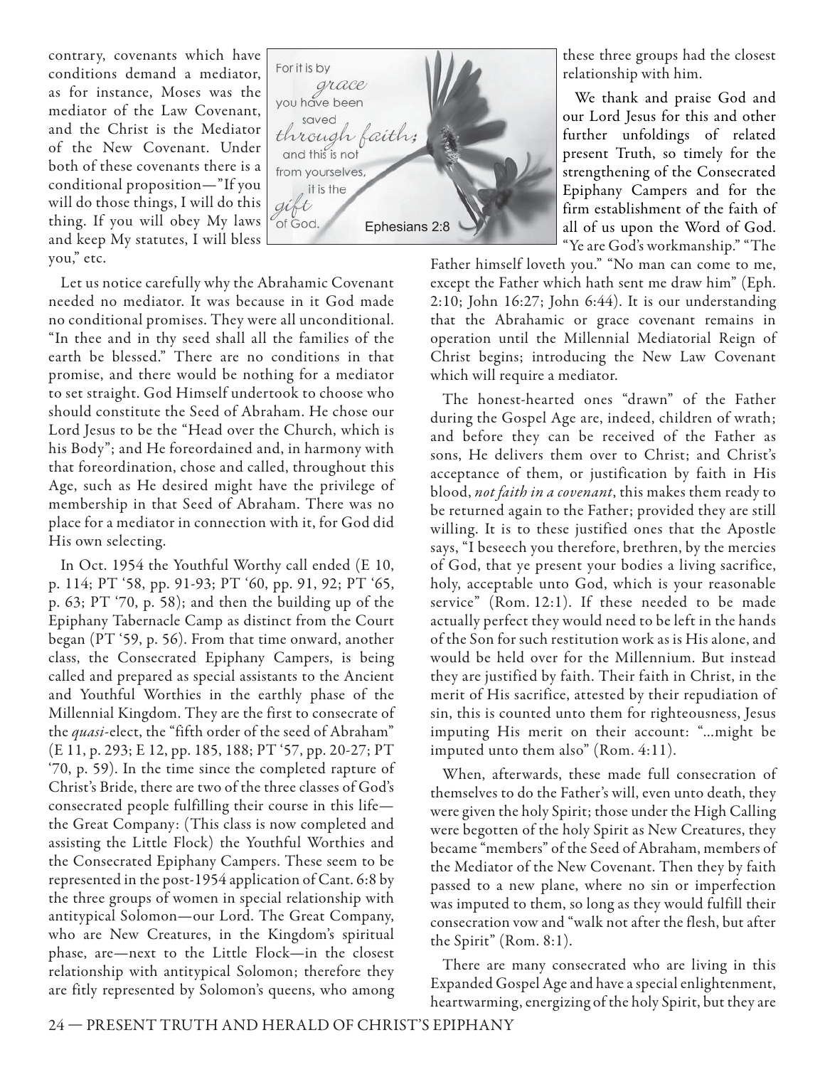contrary, covenants which have conditions demand a mediator, as for instance, Moses was the mediator of the Law Covenant, and the Christ is the Mediator of the New Covenant. Under both of these covenants there is a conditional proposition—"If you will do those things, I will do this thing. If you will obey My laws and keep My statutes, I will bless you," etc.



Let us notice carefully why the Abrahamic Covenant needed no mediator. It was because in it God made no conditional promises. They were all unconditional. "In thee and in thy seed shall all the families of the earth be blessed." There are no conditions in that promise, and there would be nothing for a mediator to set straight. God Himself undertook to choose who should constitute the Seed of Abraham. He chose our Lord Jesus to be the "Head over the Church, which is his Body"; and He foreordained and, in harmony with that foreordination, chose and called, throughout this Age, such as He desired might have the privilege of membership in that Seed of Abraham. There was no place for a mediator in connection with it, for God did His own selecting.

In Oct. 1954 the Youthful Worthy call ended (E 10, p. 114; PT '58, pp. 91-93; PT '60, pp. 91, 92; PT '65, p. 63; PT '70, p. 58); and then the building up of the Epiphany Tabernacle Camp as distinct from the Court began (PT '59, p. 56). From that time onward, another class, the Consecrated Epiphany Campers, is being called and prepared as special assistants to the Ancient and Youthful Worthies in the earthly phase of the Millennial Kingdom. They are the first to consecrate of the *quasi-*elect, the "fifth order of the seed of Abraham" (E 11, p. 293; E 12, pp. 185, 188; PT '57, pp. 20-27; PT '70, p. 59). In the time since the completed rapture of Christ's Bride, there are two of the three classes of God's consecrated people fulfilling their course in this life the Great Company: (This class is now completed and assisting the Little Flock) the Youthful Worthies and the Consecrated Epiphany Campers. These seem to be represented in the post-1954 application of Cant. 6:8 by the three groups of women in special relationship with antitypical Solomon—our Lord. The Great Company, who are New Creatures, in the Kingdom's spiritual phase, are—next to the Little Flock—in the closest relationship with antitypical Solomon; therefore they are fitly represented by Solomon's queens, who among these three groups had the closest relationship with him.

We thank and praise God and our Lord Jesus for this and other further unfoldings of related present Truth, so timely for the strengthening of the Consecrated Epiphany Campers and for the firm establishment of the faith of all of us upon the Word of God. "Ye are God's workmanship." "The

Father himself loveth you." "No man can come to me, except the Father which hath sent me draw him" (Eph. 2:10; John 16:27; John 6:44). It is our understanding that the Abrahamic or grace covenant remains in operation until the Millennial Mediatorial Reign of Christ begins; introducing the New Law Covenant which will require a mediator.

The honest-hearted ones "drawn" of the Father during the Gospel Age are, indeed, children of wrath; and before they can be received of the Father as sons, He delivers them over to Christ; and Christ's acceptance of them, or justification by faith in His blood, not faith in a covenant, this makes them ready to be returned again to the Father; provided they are still willing. It is to these justified ones that the Apostle says, "I beseech you therefore, brethren, by the mercies of God, that ye present your bodies a living sacrifice, holy, acceptable unto God, which is your reasonable service" (Rom. 12:1). If these needed to be made actually perfect they would need to be left in the hands of the Son for such restitution work as is His alone, and would be held over for the Millennium. But instead they are justified by faith. Their faith in Christ, in the merit of His sacrifice, attested by their repudiation of sin, this is counted unto them for righteousness, Jesus imputing His merit on their account: "…might be imputed unto them also" (Rom. 4:11).

When, afterwards, these made full consecration of themselves to do the Father's will, even unto death, they were given the holy Spirit; those under the High Calling were begotten of the holy Spirit as New Creatures, they became "members" of the Seed of Abraham, members of the Mediator of the New Covenant. Then they by faith passed to a new plane, where no sin or imperfection was imputed to them, so long as they would fulfill their consecration vow and "walk not after the flesh, but after the Spirit" (Rom. 8:1).

There are many consecrated who are living in this Expanded Gospel Age and have a special enlightenment, heartwarming, energizing of the holy Spirit, but they are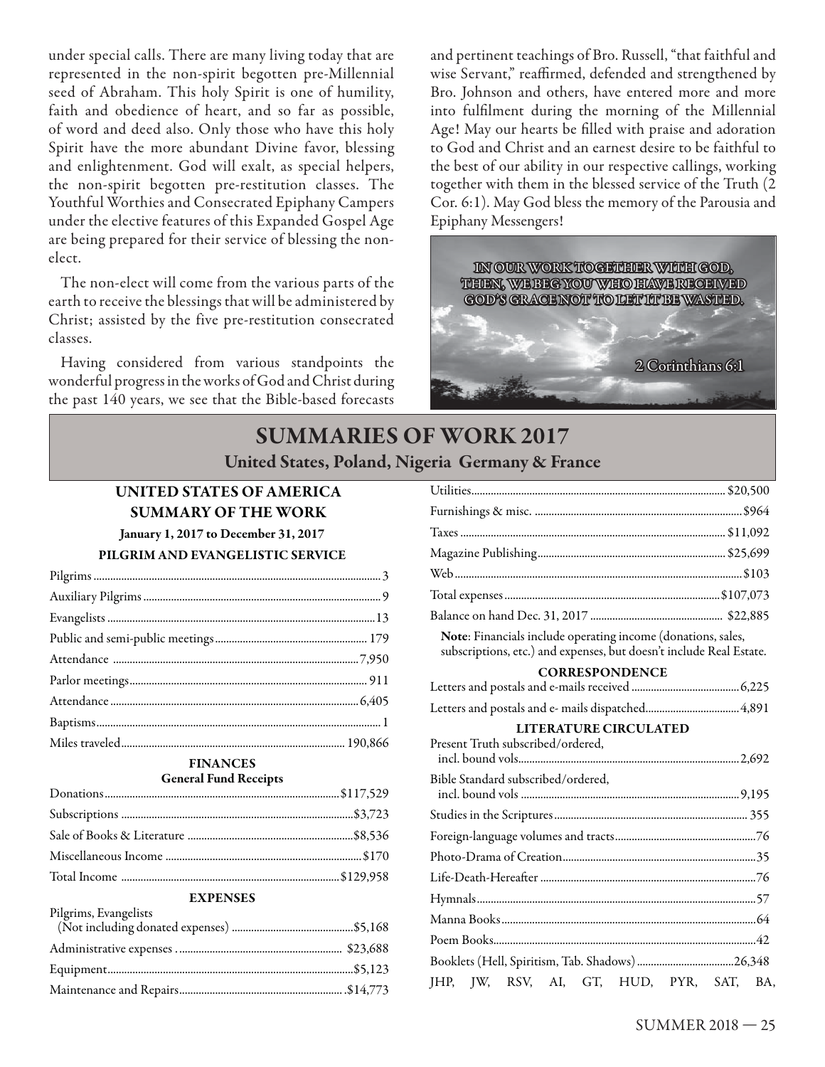under special calls. There are many living today that are represented in the non-spirit begotten pre-Millennial seed of Abraham. This holy Spirit is one of humility, faith and obedience of heart, and so far as possible, of word and deed also. Only those who have this holy Spirit have the more abundant Divine favor, blessing and enlightenment. God will exalt, as special helpers, the non-spirit begotten pre-restitution classes. The Youthful Worthies and Consecrated Epiphany Campers under the elective features of this Expanded Gospel Age are being prepared for their service of blessing the nonelect.

The non-elect will come from the various parts of the earth to receive the blessings that will be administered by Christ; assisted by the five pre-restitution consecrated classes.

Having considered from various standpoints the wonderful progress in the works of God and Christ during the past 140 years, we see that the Bible-based forecasts and pertinent teachings of Bro. Russell, "that faithful and wise Servant," reaffirmed, defended and strengthened by Bro. Johnson and others, have entered more and more into fulfilment during the morning of the Millennial Age! May our hearts be filled with praise and adoration to God and Christ and an earnest desire to be faithful to the best of our ability in our respective callings, working together with them in the blessed service of the Truth (2 Cor. 6:1). May God bless the memory of the Parousia and Epiphany Messengers!



# **SUMMARIES OF WORK 2017 United States, Poland, Nigeria Germany & France**

# **UNITED STATES OF AMERICA SUMMARY OF THE WORK**

**January 1, 2017 to December 31, 2017** 

## **PILGRIM AND EVANGELISTIC SERVICE**

#### **FINANCES General Fund Receipts**

## **EXPENSES**

 $P<sub>1</sub> = P<sub>2</sub> = P<sub>3</sub>$ 

| Pilgrims, Evangelists |  |
|-----------------------|--|
|                       |  |
|                       |  |
|                       |  |

| Note: Financials include operating income (donations, sales,<br>subscriptions, etc.) and expenses, but doesn't include Real Estate. |  |
|-------------------------------------------------------------------------------------------------------------------------------------|--|
| <b>CORRESPONDENCE</b>                                                                                                               |  |
|                                                                                                                                     |  |
|                                                                                                                                     |  |
| <b>LITERATURE CIRCULATED</b><br>Present Truth subscribed/ordered,                                                                   |  |
| Bible Standard subscribed/ordered,                                                                                                  |  |
|                                                                                                                                     |  |
|                                                                                                                                     |  |
|                                                                                                                                     |  |
|                                                                                                                                     |  |
|                                                                                                                                     |  |
|                                                                                                                                     |  |
|                                                                                                                                     |  |
|                                                                                                                                     |  |
| JHP, JW, RSV, AI, GT, HUD, PYR, SAT, BA,                                                                                            |  |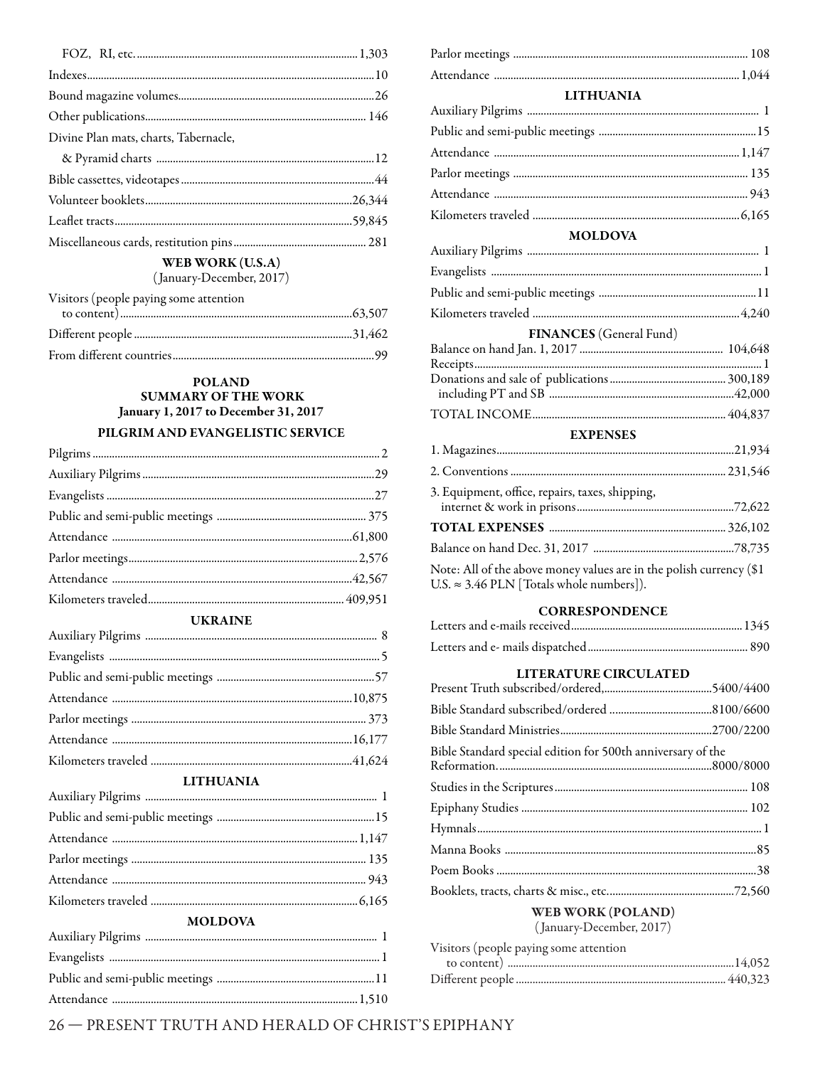| Divine Plan mats, charts, Tabernacle, |  |
|---------------------------------------|--|
|                                       |  |
|                                       |  |
|                                       |  |
|                                       |  |
|                                       |  |
| WER WORK $(II.S.A)$                   |  |

(January-December, 2017)

| Visitors (people paying some attention |  |
|----------------------------------------|--|
|                                        |  |
|                                        |  |
|                                        |  |

### **POLAND SUMMARY OF THE WORK** January 1, 2017 to December 31, 2017 PILGRIM AND EVANGELISTIC SERVICE

**UKRAINE** 

| $\sim$ $\sim$ $\sim$ |  |
|----------------------|--|
|                      |  |
|                      |  |
|                      |  |
|                      |  |
|                      |  |
|                      |  |
|                      |  |

#### **LITHUANIA**

| <b>MOLDOVA</b> |  |
|----------------|--|
|                |  |
|                |  |

#### **LITHUANIA**

#### **MOLDOVA**

| <b>FINANCES</b> (General Fund) |  |
|--------------------------------|--|

#### **EXPENSES**

| 3. Equipment, office, repairs, taxes, shipping,                                                                              |  |
|------------------------------------------------------------------------------------------------------------------------------|--|
|                                                                                                                              |  |
|                                                                                                                              |  |
| Note: All of the above money values are in the polish currency (\$1 $\,$<br>U.S. $\approx$ 3.46 PLN [Totals whole numbers]). |  |

#### **CORRESPONDENCE**

#### LITERATURE CIRCULATED

| Bible Standard special edition for 500th anniversary of the |  |
|-------------------------------------------------------------|--|
|                                                             |  |
|                                                             |  |
|                                                             |  |
|                                                             |  |
|                                                             |  |
|                                                             |  |

# **WEB WORK (POLAND)**

(January-December, 2017) Visitors (people paving some attention

| v isitors (people paying some attention |
|-----------------------------------------|
|                                         |
|                                         |

26 - PRESENT TRUTH AND HERALD OF CHRIST'S EPIPHANY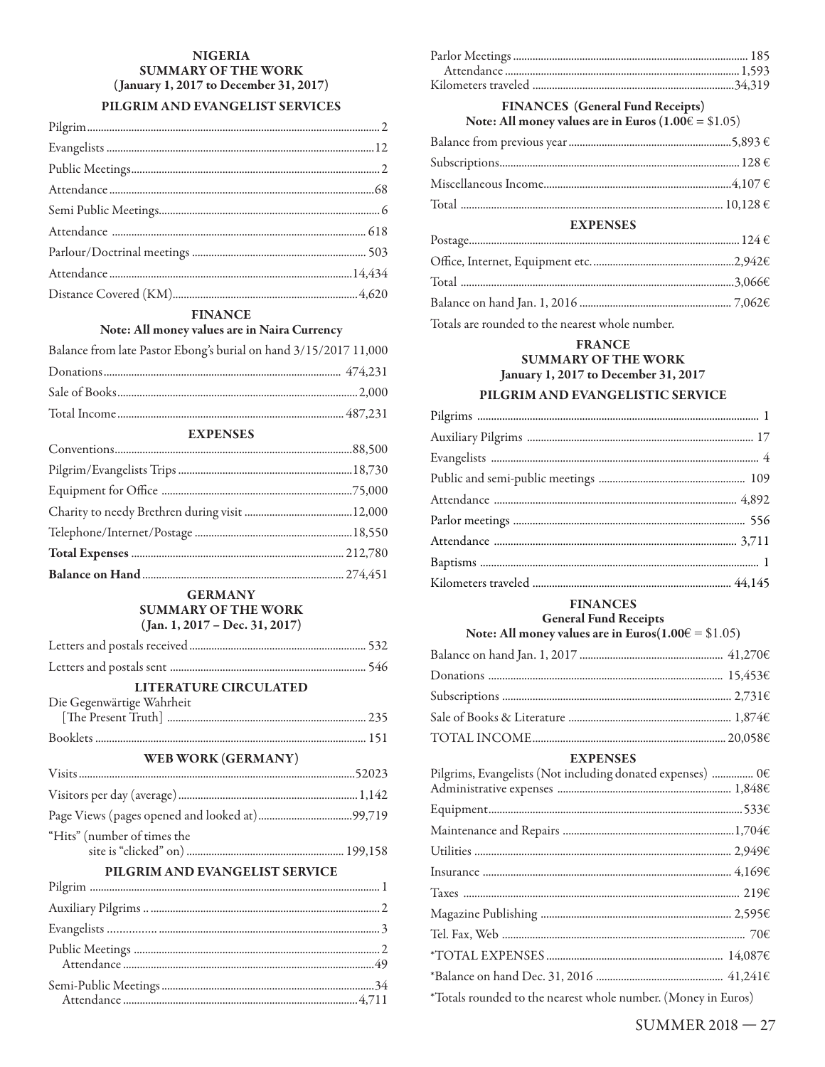### **NIGERIA SUMMARY OF THE WORK** (January 1, 2017 to December 31, 2017) PILGRIM AND EVANGELIST SERVICES

# **FINANCE**

# Note: All money values are in Naira Currency

| Balance from late Pastor Ebong's burial on hand 3/15/2017 11,000 |  |
|------------------------------------------------------------------|--|
|                                                                  |  |
|                                                                  |  |
|                                                                  |  |

| <b>EXPENSES</b> |  |  |
|-----------------|--|--|
|                 |  |  |
|                 |  |  |
|                 |  |  |
|                 |  |  |
|                 |  |  |
|                 |  |  |
|                 |  |  |

#### **GERMANY SUMMARY OF THE WORK**  $(Jan. 1, 2017 - Dec. 31, 2017)$

| <b>LITERATURE CIRCULATED</b><br>Die Gegenwärtige Wahrheit |  |
|-----------------------------------------------------------|--|
|                                                           |  |
|                                                           |  |
| WEB WORK (GERMANY)                                        |  |
|                                                           |  |
|                                                           |  |
|                                                           |  |
| "Hits" (number of times the                               |  |
| PILGRIM AND EVANGELIST SERVICE                            |  |
|                                                           |  |
|                                                           |  |
|                                                           |  |

## **FINANCES** (General Fund Receipts)

Note: All money values are in Euros  $(1.00 \hat{\epsilon} = $1.05)$ 

| <b>EXPENSES</b>                                                                                                                                  |  |  |
|--------------------------------------------------------------------------------------------------------------------------------------------------|--|--|
| $\texttt{Postage} \texttt{} \texttt{} \texttt{} \texttt{} \texttt{} \texttt{} \texttt{} \texttt{} \texttt{} \texttt{124} \texttt{\textsterling}$ |  |  |
|                                                                                                                                                  |  |  |
|                                                                                                                                                  |  |  |
|                                                                                                                                                  |  |  |

Totals are rounded to the nearest whole number.

# **FRANCE SUMMARY OF THE WORK** January 1, 2017 to December 31, 2017

## PILGRIM AND EVANGELISTIC SERVICE

#### **FINANCES General Fund Receipts**

Note: All money values are in Euros( $1.00 \in \text{\$}1.05$ )

| $\texttt{TOTAL INCOME} \texttt{}{\texttt{}} \texttt{}{\texttt{}} \texttt{}{\texttt{}} \texttt{}{\texttt{}} \texttt{} \texttt{0,0586}$ |  |
|---------------------------------------------------------------------------------------------------------------------------------------|--|
| <b>EXPENSES</b>                                                                                                                       |  |
| Pilgrims, Evangelists (Not including donated expenses)  0 $\epsilon$                                                                  |  |
|                                                                                                                                       |  |
|                                                                                                                                       |  |
|                                                                                                                                       |  |
|                                                                                                                                       |  |
|                                                                                                                                       |  |
|                                                                                                                                       |  |
|                                                                                                                                       |  |
|                                                                                                                                       |  |
|                                                                                                                                       |  |
| *Totals rounded to the nearest whole number. (Money in Euros)                                                                         |  |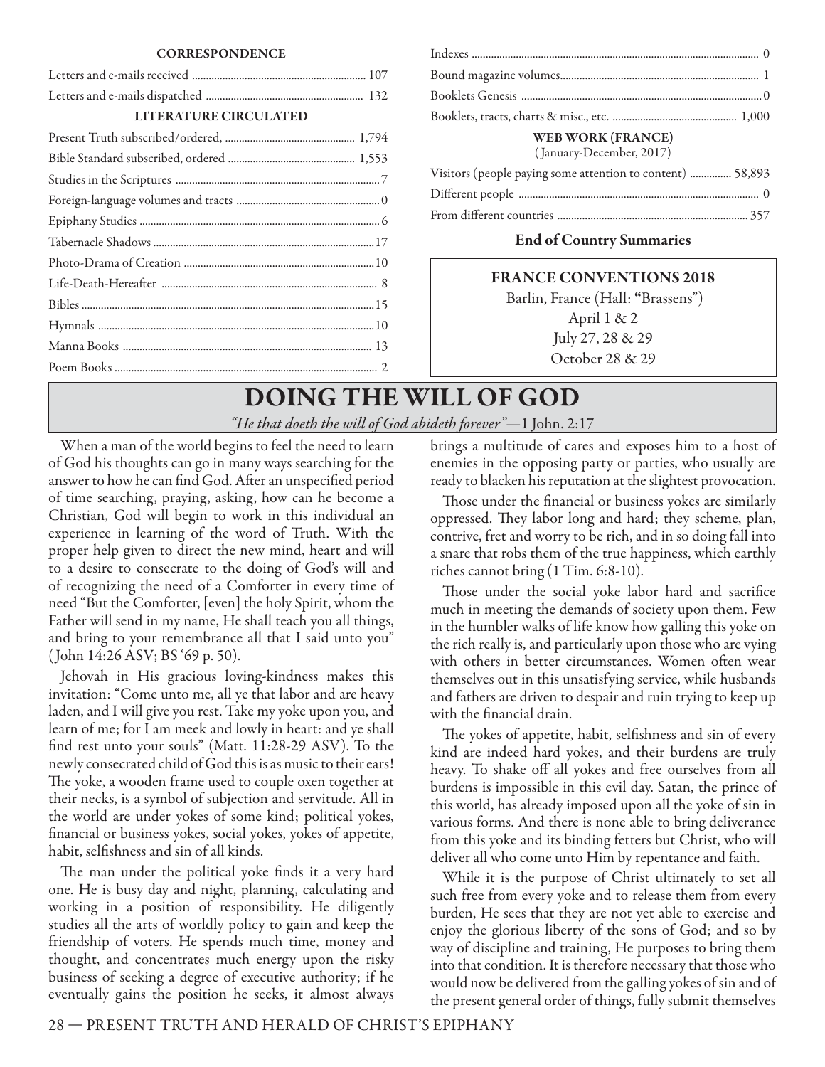#### **CORRESPONDENCE**

| <b>LITERATURE CIRCULATED</b> |  |  |
|------------------------------|--|--|
|                              |  |  |
|                              |  |  |
|                              |  |  |
|                              |  |  |
|                              |  |  |
|                              |  |  |
|                              |  |  |
|                              |  |  |
|                              |  |  |
|                              |  |  |
|                              |  |  |
|                              |  |  |

| <b>WEB WORK (FRANCE)</b><br>(January-December, 2017)       |  |
|------------------------------------------------------------|--|
| Visitors (people paying some attention to content)  58,893 |  |
|                                                            |  |
|                                                            |  |

#### **End of Country Summaries**

# **FRANCE CONVENTIONS 2018**

 Barlin, France (Hall: **"**Brassens") April 1 & 2 July 27, 28 & 29 October 28 & 29

# **DOING THE WILL OF GOD** *"He that doeth the will of God abideth forever"*—1 John. 2:17

When a man of the world begins to feel the need to learn of God his thoughts can go in many ways searching for the answer to how he can find God. After an unspecified period of time searching, praying, asking, how can he become a Christian, God will begin to work in this individual an experience in learning of the word of Truth. With the proper help given to direct the new mind, heart and will to a desire to consecrate to the doing of God's will and of recognizing the need of a Comforter in every time of need "But the Comforter, [even] the holy Spirit, whom the Father will send in my name, He shall teach you all things, and bring to your remembrance all that I said unto you" ( John 14:26 ASV; BS '69 p. 50).

Jehovah in His gracious loving-kindness makes this invitation: "Come unto me, all ye that labor and are heavy laden, and I will give you rest. Take my yoke upon you, and learn of me; for I am meek and lowly in heart: and ye shall find rest unto your souls" (Matt. 11:28-29 ASV). To the newly consecrated child of God this is as music to their ears! The yoke, a wooden frame used to couple oxen together at their necks, is a symbol of subjection and servitude. All in the world are under yokes of some kind; political yokes, financial or business yokes, social yokes, yokes of appetite, habit, selfishness and sin of all kinds.

The man under the political yoke finds it a very hard one. He is busy day and night, planning, calculating and working in a position of responsibility. He diligently studies all the arts of worldly policy to gain and keep the friendship of voters. He spends much time, money and thought, and concentrates much energy upon the risky business of seeking a degree of executive authority; if he eventually gains the position he seeks, it almost always

brings a multitude of cares and exposes him to a host of enemies in the opposing party or parties, who usually are ready to blacken his reputation at the slightest provocation.

Those under the financial or business yokes are similarly oppressed. They labor long and hard; they scheme, plan, contrive, fret and worry to be rich, and in so doing fall into a snare that robs them of the true happiness, which earthly riches cannot bring (1 Tim. 6:8-10).

Those under the social yoke labor hard and sacrifice much in meeting the demands of society upon them. Few in the humbler walks of life know how galling this yoke on the rich really is, and particularly upon those who are vying with others in better circumstances. Women often wear themselves out in this unsatisfying service, while husbands and fathers are driven to despair and ruin trying to keep up with the financial drain.

The yokes of appetite, habit, selfishness and sin of every kind are indeed hard yokes, and their burdens are truly heavy. To shake off all yokes and free ourselves from all burdens is impossible in this evil day. Satan, the prince of this world, has already imposed upon all the yoke of sin in various forms. And there is none able to bring deliverance from this yoke and its binding fetters but Christ, who will deliver all who come unto Him by repentance and faith.

While it is the purpose of Christ ultimately to set all such free from every yoke and to release them from every burden, He sees that they are not yet able to exercise and enjoy the glorious liberty of the sons of God; and so by way of discipline and training, He purposes to bring them into that condition. It is therefore necessary that those who would now be delivered from the galling yokes of sin and of the present general order of things, fully submit themselves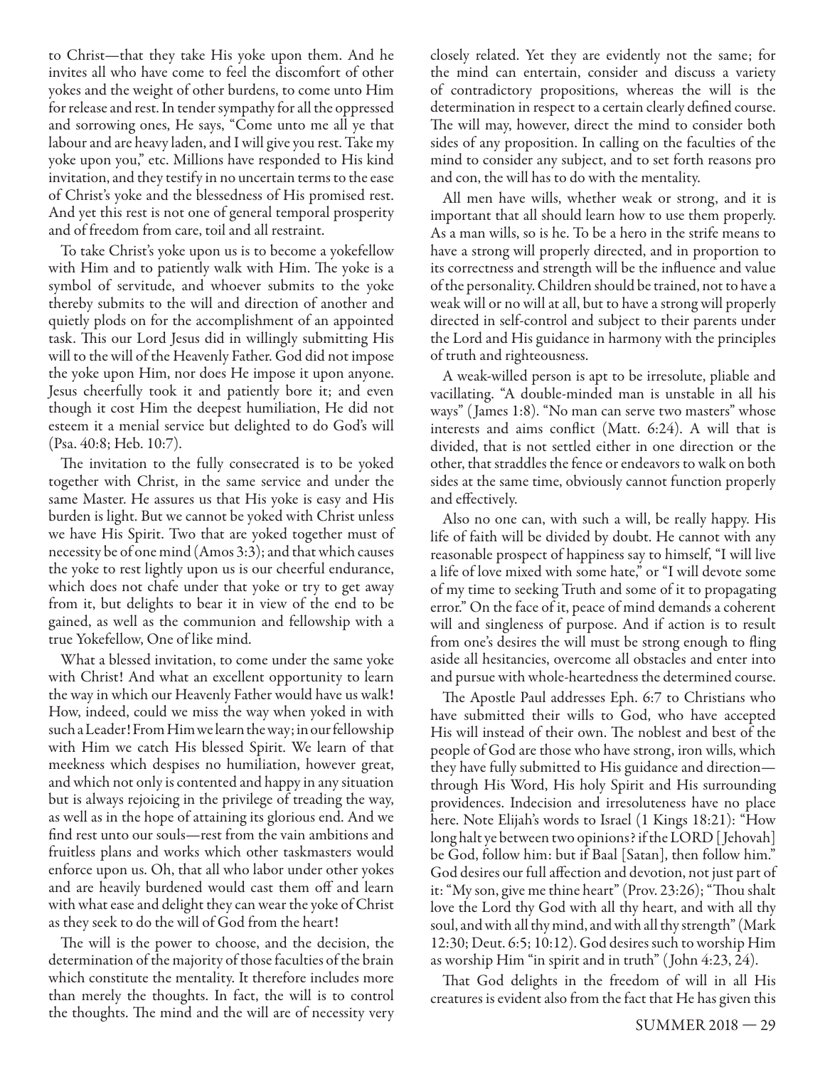to Christ—that they take His yoke upon them. And he invites all who have come to feel the discomfort of other yokes and the weight of other burdens, to come unto Him for release and rest. In tender sympathy for all the oppressed and sorrowing ones, He says, "Come unto me all ye that labour and are heavy laden, and I will give you rest. Take my yoke upon you," etc. Millions have responded to His kind invitation, and they testify in no uncertain terms to the ease of Christ's yoke and the blessedness of His promised rest. And yet this rest is not one of general temporal prosperity and of freedom from care, toil and all restraint.

To take Christ's yoke upon us is to become a yokefellow with Him and to patiently walk with Him. The yoke is a symbol of servitude, and whoever submits to the yoke thereby submits to the will and direction of another and quietly plods on for the accomplishment of an appointed task. This our Lord Jesus did in willingly submitting His will to the will of the Heavenly Father. God did not impose the yoke upon Him, nor does He impose it upon anyone. Jesus cheerfully took it and patiently bore it; and even though it cost Him the deepest humiliation, He did not esteem it a menial service but delighted to do God's will (Psa. 40:8; Heb. 10:7).

The invitation to the fully consecrated is to be yoked together with Christ, in the same service and under the same Master. He assures us that His yoke is easy and His burden is light. But we cannot be yoked with Christ unless we have His Spirit. Two that are yoked together must of necessity be of one mind (Amos 3:3); and that which causes the yoke to rest lightly upon us is our cheerful endurance, which does not chafe under that yoke or try to get away from it, but delights to bear it in view of the end to be gained, as well as the communion and fellowship with a true Yokefellow, One of like mind.

What a blessed invitation, to come under the same yoke with Christ! And what an excellent opportunity to learn the way in which our Heavenly Father would have us walk! How, indeed, could we miss the way when yoked in with such a Leader! From Him we learn the way; in our fellowship with Him we catch His blessed Spirit. We learn of that meekness which despises no humiliation, however great, and which not only is contented and happy in any situation but is always rejoicing in the privilege of treading the way, as well as in the hope of attaining its glorious end. And we find rest unto our souls—rest from the vain ambitions and fruitless plans and works which other taskmasters would enforce upon us. Oh, that all who labor under other yokes and are heavily burdened would cast them off and learn with what ease and delight they can wear the yoke of Christ as they seek to do the will of God from the heart!

The will is the power to choose, and the decision, the determination of the majority of those faculties of the brain which constitute the mentality. It therefore includes more than merely the thoughts. In fact, the will is to control the thoughts. The mind and the will are of necessity very closely related. Yet they are evidently not the same; for the mind can entertain, consider and discuss a variety of contradictory propositions, whereas the will is the determination in respect to a certain clearly defined course. The will may, however, direct the mind to consider both sides of any proposition. In calling on the faculties of the mind to consider any subject, and to set forth reasons pro and con, the will has to do with the mentality.

All men have wills, whether weak or strong, and it is important that all should learn how to use them properly. As a man wills, so is he. To be a hero in the strife means to have a strong will properly directed, and in proportion to its correctness and strength will be the influence and value of the personality. Children should be trained, not to have a weak will or no will at all, but to have a strong will properly directed in self-control and subject to their parents under the Lord and His guidance in harmony with the principles of truth and righteousness.

A weak-willed person is apt to be irresolute, pliable and vacillating. "A double-minded man is unstable in all his ways" ( James 1:8). "No man can serve two masters" whose interests and aims conflict (Matt. 6:24). A will that is divided, that is not settled either in one direction or the other, that straddles the fence or endeavors to walk on both sides at the same time, obviously cannot function properly and effectively.

Also no one can, with such a will, be really happy. His life of faith will be divided by doubt. He cannot with any reasonable prospect of happiness say to himself, "I will live a life of love mixed with some hate," or "I will devote some of my time to seeking Truth and some of it to propagating error." On the face of it, peace of mind demands a coherent will and singleness of purpose. And if action is to result from one's desires the will must be strong enough to fling aside all hesitancies, overcome all obstacles and enter into and pursue with whole-heartedness the determined course.

The Apostle Paul addresses Eph. 6:7 to Christians who have submitted their wills to God, who have accepted His will instead of their own. The noblest and best of the people of God are those who have strong, iron wills, which they have fully submitted to His guidance and direction through His Word, His holy Spirit and His surrounding providences. Indecision and irresoluteness have no place here. Note Elijah's words to Israel (1 Kings 18:21): "How long halt ye between two opinions? if the LORD [ Jehovah] be God, follow him: but if Baal [Satan], then follow him." God desires our full affection and devotion, not just part of it: "My son, give me thine heart" (Prov. 23:26); "Thou shalt love the Lord thy God with all thy heart, and with all thy soul, and with all thy mind, and with all thy strength" (Mark 12:30; Deut. 6:5; 10:12). God desires such to worship Him as worship Him "in spirit and in truth" ( John 4:23, 24).

That God delights in the freedom of will in all His creatures is evident also from the fact that He has given this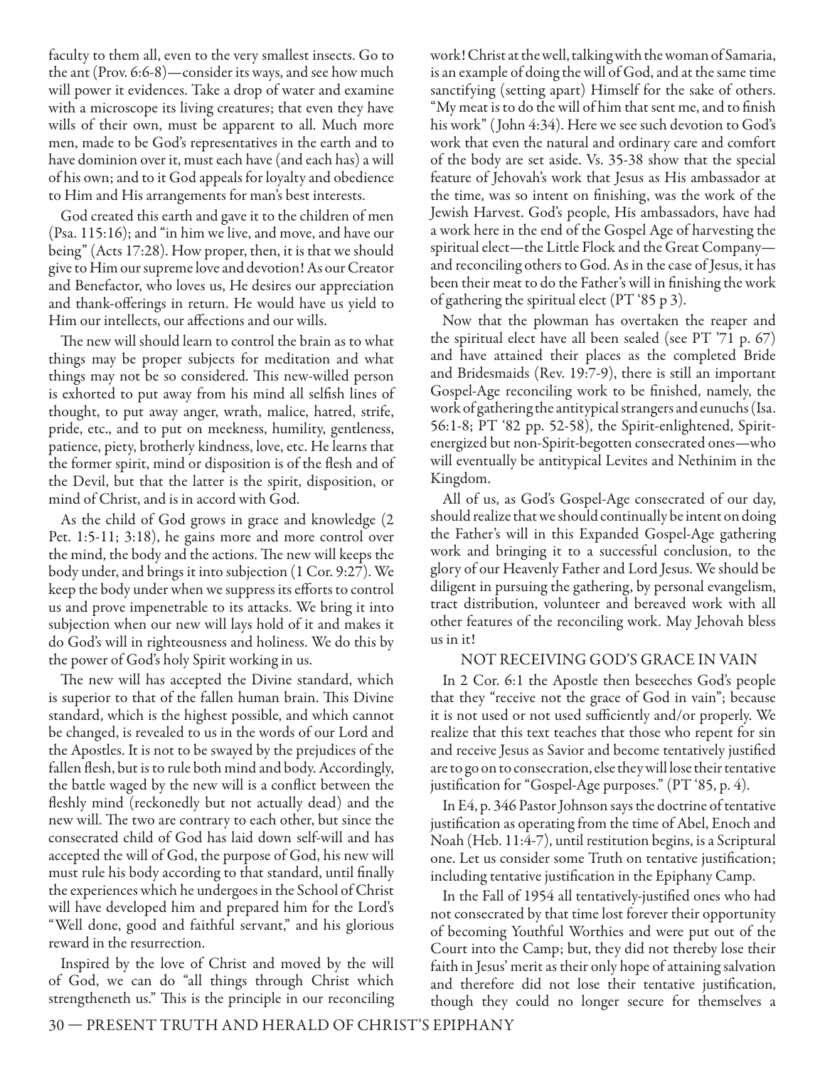faculty to them all, even to the very smallest insects. Go to the ant (Prov. 6:6-8)—consider its ways, and see how much will power it evidences. Take a drop of water and examine with a microscope its living creatures; that even they have wills of their own, must be apparent to all. Much more men, made to be God's representatives in the earth and to have dominion over it, must each have (and each has) a will of his own; and to it God appeals for loyalty and obedience to Him and His arrangements for man's best interests.

God created this earth and gave it to the children of men (Psa. 115:16); and "in him we live, and move, and have our being" (Acts 17:28). How proper, then, it is that we should give to Him our supreme love and devotion! As our Creator and Benefactor, who loves us, He desires our appreciation and thank-offerings in return. He would have us yield to Him our intellects, our affections and our wills.

The new will should learn to control the brain as to what things may be proper subjects for meditation and what things may not be so considered. This new-willed person is exhorted to put away from his mind all selfish lines of thought, to put away anger, wrath, malice, hatred, strife, pride, etc., and to put on meekness, humility, gentleness, patience, piety, brotherly kindness, love, etc. He learns that the former spirit, mind or disposition is of the flesh and of the Devil, but that the latter is the spirit, disposition, or mind of Christ, and is in accord with God.

As the child of God grows in grace and knowledge (2 Pet. 1:5-11; 3:18), he gains more and more control over the mind, the body and the actions. The new will keeps the body under, and brings it into subjection (1 Cor. 9:27). We keep the body under when we suppress its efforts to control us and prove impenetrable to its attacks. We bring it into subjection when our new will lays hold of it and makes it do God's will in righteousness and holiness. We do this by the power of God's holy Spirit working in us.

The new will has accepted the Divine standard, which is superior to that of the fallen human brain. This Divine standard, which is the highest possible, and which cannot be changed, is revealed to us in the words of our Lord and the Apostles. It is not to be swayed by the prejudices of the fallen flesh, but is to rule both mind and body. Accordingly, the battle waged by the new will is a conflict between the fleshly mind (reckonedly but not actually dead) and the new will. The two are contrary to each other, but since the consecrated child of God has laid down self-will and has accepted the will of God, the purpose of God, his new will must rule his body according to that standard, until finally the experiences which he undergoes in the School of Christ will have developed him and prepared him for the Lord's "Well done, good and faithful servant," and his glorious reward in the resurrection.

 Inspired by the love of Christ and moved by the will of God, we can do "all things through Christ which strengtheneth us." This is the principle in our reconciling work! Christ at the well, talking with the woman of Samaria, is an example of doing the will of God, and at the same time sanctifying (setting apart) Himself for the sake of others. "My meat is to do the will of him that sent me, and to finish his work" ( John 4:34). Here we see such devotion to God's work that even the natural and ordinary care and comfort of the body are set aside. Vs. 35-38 show that the special feature of Jehovah's work that Jesus as His ambassador at the time, was so intent on finishing, was the work of the Jewish Harvest. God's people, His ambassadors, have had a work here in the end of the Gospel Age of harvesting the spiritual elect—the Little Flock and the Great Company and reconciling others to God. As in the case of Jesus, it has been their meat to do the Father's will in finishing the work of gathering the spiritual elect (PT '85 p 3).

Now that the plowman has overtaken the reaper and the spiritual elect have all been sealed (see PT '71 p. 67) and have attained their places as the completed Bride and Bridesmaids (Rev. 19:7-9), there is still an important Gospel-Age reconciling work to be finished, namely, the work of gathering the antitypical strangers and eunuchs (Isa. 56:1-8; PT '82 pp. 52-58), the Spirit-enlightened, Spiritenergized but non-Spirit-begotten consecrated ones—who will eventually be antitypical Levites and Nethinim in the Kingdom.

All of us, as God's Gospel-Age consecrated of our day, should realize that we should continually be intent on doing the Father's will in this Expanded Gospel-Age gathering work and bringing it to a successful conclusion, to the glory of our Heavenly Father and Lord Jesus. We should be diligent in pursuing the gathering, by personal evangelism, tract distribution, volunteer and bereaved work with all other features of the reconciling work. May Jehovah bless us in it!

## NOT RECEIVING GOD'S GRACE IN VAIN

In 2 Cor. 6:1 the Apostle then beseeches God's people that they "receive not the grace of God in vain"; because it is not used or not used sufficiently and/or properly. We realize that this text teaches that those who repent for sin and receive Jesus as Savior and become tentatively justified are to go on to consecration, else they will lose their tentative justification for "Gospel-Age purposes." (PT '85, p. 4).

In E4, p. 346 Pastor Johnson says the doctrine of tentative justification as operating from the time of Abel, Enoch and Noah (Heb. 11:4-7), until restitution begins, is a Scriptural one. Let us consider some Truth on tentative justification; including tentative justification in the Epiphany Camp.

In the Fall of 1954 all tentatively-justified ones who had not consecrated by that time lost forever their opportunity of becoming Youthful Worthies and were put out of the Court into the Camp; but, they did not thereby lose their faith in Jesus' merit as their only hope of attaining salvation and therefore did not lose their tentative justification, though they could no longer secure for themselves a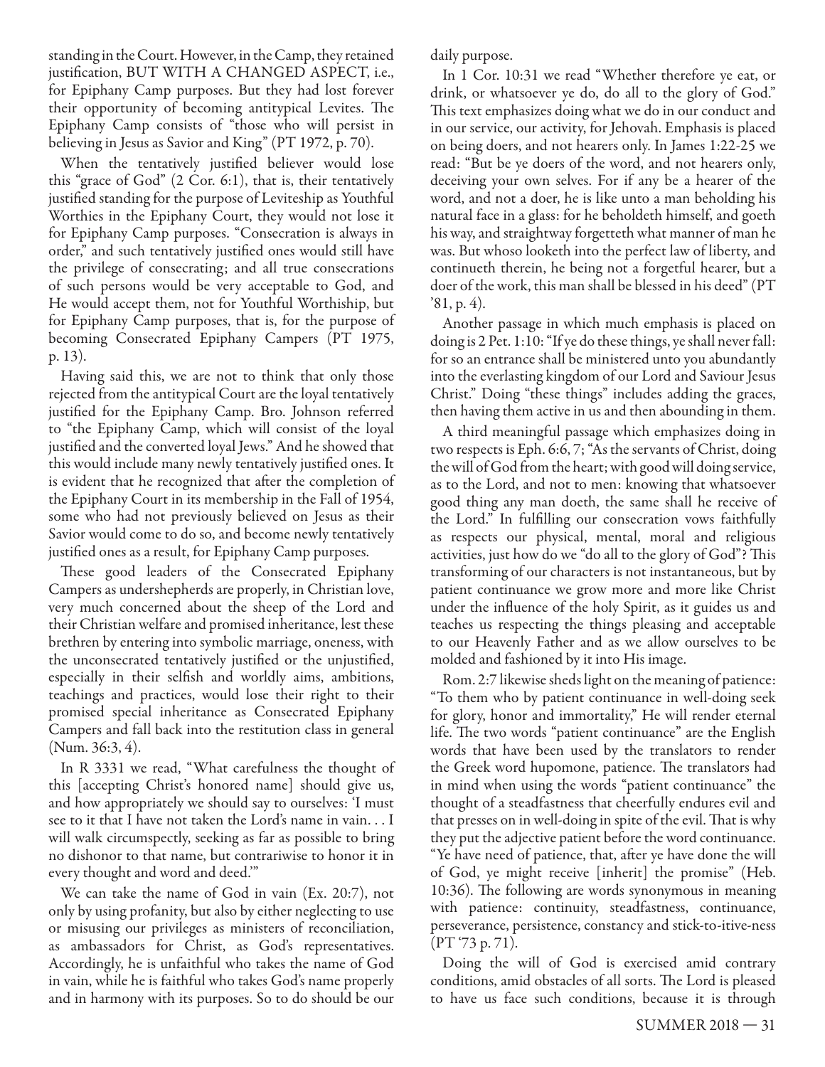standing in the Court. However, in the Camp, they retained justification, BUT WITH A CHANGED ASPECT, i.e., for Epiphany Camp purposes. But they had lost forever their opportunity of becoming antitypical Levites. The Epiphany Camp consists of "those who will persist in believing in Jesus as Savior and King" (PT 1972, p. 70).

When the tentatively justified believer would lose this "grace of God" (2 Cor. 6:1), that is, their tentatively justified standing for the purpose of Leviteship as Youthful Worthies in the Epiphany Court, they would not lose it for Epiphany Camp purposes. "Consecration is always in order," and such tentatively justified ones would still have the privilege of consecrating; and all true consecrations of such persons would be very acceptable to God, and He would accept them, not for Youthful Worthiship, but for Epiphany Camp purposes, that is, for the purpose of becoming Consecrated Epiphany Campers (PT 1975, p. 13).

Having said this, we are not to think that only those rejected from the antitypical Court are the loyal tentatively justified for the Epiphany Camp. Bro. Johnson referred to "the Epiphany Camp, which will consist of the loyal justified and the converted loyal Jews." And he showed that this would include many newly tentatively justified ones. It is evident that he recognized that after the completion of the Epiphany Court in its membership in the Fall of 1954, some who had not previously believed on Jesus as their Savior would come to do so, and become newly tentatively justified ones as a result, for Epiphany Camp purposes.

These good leaders of the Consecrated Epiphany Campers as undershepherds are properly, in Christian love, very much concerned about the sheep of the Lord and their Christian welfare and promised inheritance, lest these brethren by entering into symbolic marriage, oneness, with the unconsecrated tentatively justified or the unjustified, especially in their selfish and worldly aims, ambitions, teachings and practices, would lose their right to their promised special inheritance as Consecrated Epiphany Campers and fall back into the restitution class in general (Num. 36:3, 4).

In R 3331 we read, "What carefulness the thought of this [accepting Christ's honored name] should give us, and how appropriately we should say to ourselves: 'I must see to it that I have not taken the Lord's name in vain. . . I will walk circumspectly, seeking as far as possible to bring no dishonor to that name, but contrariwise to honor it in every thought and word and deed.'"

We can take the name of God in vain (Ex. 20:7), not only by using profanity, but also by either neglecting to use or misusing our privileges as ministers of reconciliation, as ambassadors for Christ, as God's representatives. Accordingly, he is unfaithful who takes the name of God in vain, while he is faithful who takes God's name properly and in harmony with its purposes. So to do should be our

daily purpose.

In 1 Cor. 10:31 we read "Whether therefore ye eat, or drink, or whatsoever ye do, do all to the glory of God." This text emphasizes doing what we do in our conduct and in our service, our activity, for Jehovah. Emphasis is placed on being doers, and not hearers only. In James 1:22-25 we read: "But be ye doers of the word, and not hearers only, deceiving your own selves. For if any be a hearer of the word, and not a doer, he is like unto a man beholding his natural face in a glass: for he beholdeth himself, and goeth his way, and straightway forgetteth what manner of man he was. But whoso looketh into the perfect law of liberty, and continueth therein, he being not a forgetful hearer, but a doer of the work, this man shall be blessed in his deed" (PT '81, p. 4).

Another passage in which much emphasis is placed on doing is 2 Pet. 1:10: "If ye do these things, ye shall never fall: for so an entrance shall be ministered unto you abundantly into the everlasting kingdom of our Lord and Saviour Jesus Christ." Doing "these things" includes adding the graces, then having them active in us and then abounding in them.

A third meaningful passage which emphasizes doing in two respects is Eph. 6:6, 7; "As the servants of Christ, doing the will of God from the heart; with good will doing service, as to the Lord, and not to men: knowing that whatsoever good thing any man doeth, the same shall he receive of the Lord." In fulfilling our consecration vows faithfully as respects our physical, mental, moral and religious activities, just how do we "do all to the glory of God"? This transforming of our characters is not instantaneous, but by patient continuance we grow more and more like Christ under the influence of the holy Spirit, as it guides us and teaches us respecting the things pleasing and acceptable to our Heavenly Father and as we allow ourselves to be molded and fashioned by it into His image.

Rom. 2:7 likewise sheds light on the meaning of patience: "To them who by patient continuance in well-doing seek for glory, honor and immortality," He will render eternal life. The two words "patient continuance" are the English words that have been used by the translators to render the Greek word hupomone, patience. The translators had in mind when using the words "patient continuance" the thought of a steadfastness that cheerfully endures evil and that presses on in well-doing in spite of the evil. That is why they put the adjective patient before the word continuance. "Ye have need of patience, that, after ye have done the will of God, ye might receive [inherit] the promise" (Heb. 10:36). The following are words synonymous in meaning with patience: continuity, steadfastness, continuance, perseverance, persistence, constancy and stick-to-itive-ness (PT '73 p. 71).

Doing the will of God is exercised amid contrary conditions, amid obstacles of all sorts. The Lord is pleased to have us face such conditions, because it is through